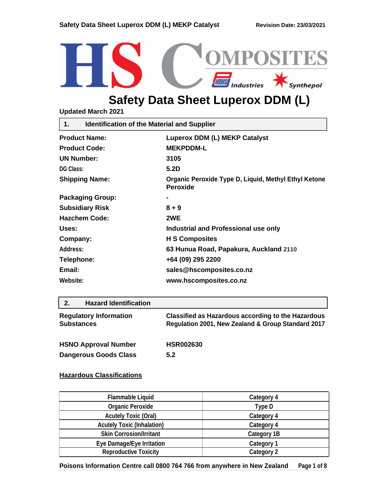

# **Safety Data Sheet Luperox DDM (L)**

**Updated March 2021**

| <b>Identification of the Material and Supplier</b><br>1. |                                                                         |  |
|----------------------------------------------------------|-------------------------------------------------------------------------|--|
| <b>Product Name:</b>                                     | <b>Luperox DDM (L) MEKP Catalyst</b>                                    |  |
| <b>Product Code:</b>                                     | <b>MEKPDDM-L</b>                                                        |  |
| <b>UN Number:</b>                                        | 3105                                                                    |  |
| <b>DG Class:</b>                                         | 5.2D                                                                    |  |
| <b>Shipping Name:</b>                                    | Organic Peroxide Type D, Liquid, Methyl Ethyl Ketone<br><b>Peroxide</b> |  |
| <b>Packaging Group:</b>                                  |                                                                         |  |
| <b>Subsidiary Risk</b>                                   | $8 + 9$                                                                 |  |
| <b>Hazchem Code:</b>                                     | 2WE                                                                     |  |
| Uses:                                                    | Industrial and Professional use only                                    |  |
| Company:                                                 | <b>H S Composites</b>                                                   |  |
| Address:                                                 | 63 Hunua Road, Papakura, Auckland 2110                                  |  |
| Telephone:                                               | +64 (09) 295 2200                                                       |  |
| Email:                                                   | sales@hscomposites.co.nz                                                |  |
| Website:                                                 | www.hscomposites.co.nz                                                  |  |
|                                                          |                                                                         |  |

## **2. Hazard Identification**

| Classified as Hazardous according to the Hazardous<br>Regulation 2001, New Zealand & Group Standard 2017 |
|----------------------------------------------------------------------------------------------------------|
| <b>HSR002630</b><br>5.2                                                                                  |
|                                                                                                          |

## **Hazardous Classifications**

| <b>Flammable Liquid</b>           | Category 4         |
|-----------------------------------|--------------------|
| <b>Organic Peroxide</b>           | Type D             |
| <b>Acutely Toxic (Oral)</b>       | Category 4         |
| <b>Acutely Toxic (Inhalation)</b> | Category 4         |
| <b>Skin Corrosion/Irritant</b>    | <b>Category 1B</b> |
| Eye Damage/Eye Irritation         | <b>Category 1</b>  |
| <b>Reproductive Toxicity</b>      | <b>Category 2</b>  |

**Poisons Information Centre call 0800 764 766 from anywhere in New Zealand Page 1 of 8**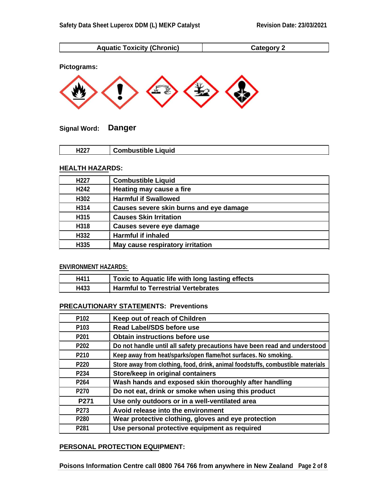





**Signal Word: Danger**

|--|

# **HEALTH HAZARDS:**

| H <sub>227</sub> | <b>Combustible Liquid</b>               |
|------------------|-----------------------------------------|
| H <sub>242</sub> | Heating may cause a fire                |
| H302             | <b>Harmful if Swallowed</b>             |
| H314             | Causes severe skin burns and eye damage |
| H315             | <b>Causes Skin Irritation</b>           |
| H318             | Causes severe eye damage                |
| H332             | <b>Harmful if inhaled</b>               |
| H335             | May cause respiratory irritation        |

# **ENVIRONMENT HAZARDS:**

| H411 | Toxic to Aquatic life with long lasting effects |
|------|-------------------------------------------------|
| H433 | <b>Harmful to Terrestrial Vertebrates</b>       |

# **PRECAUTIONARY STATEMENTS: Preventions**

| P <sub>102</sub> | Keep out of reach of Children                                                   |
|------------------|---------------------------------------------------------------------------------|
| P <sub>103</sub> | <b>Read Label/SDS before use</b>                                                |
| P <sub>201</sub> | Obtain instructions before use                                                  |
| P <sub>202</sub> | Do not handle until all safety precautions have been read and understood        |
| P <sub>210</sub> | Keep away from heat/sparks/open flame/hot surfaces. No smoking.                 |
| P <sub>220</sub> | Store away from clothing, food, drink, animal foodstuffs, combustible materials |
| P234             | Store/keep in original containers                                               |
| P <sub>264</sub> | Wash hands and exposed skin thoroughly after handling                           |
| P270             | Do not eat, drink or smoke when using this product                              |
| P <sub>271</sub> | Use only outdoors or in a well-ventilated area                                  |
| P273             | Avoid release into the environment                                              |
| P <sub>280</sub> | Wear protective clothing, gloves and eye protection                             |
| P <sub>281</sub> | Use personal protective equipment as required                                   |

### **PERSONAL PROTECTION EQUIPMENT:**

**Poisons Information Centre call 0800 764 766 from anywhere in New Zealand Page 2 of 8**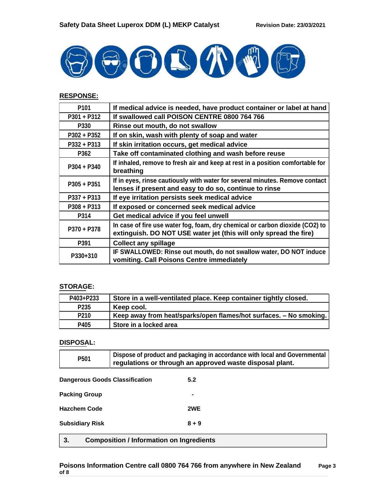

# **RESPONSE:**

| P <sub>101</sub> | If medical advice is needed, have product container or label at hand                                                                              |
|------------------|---------------------------------------------------------------------------------------------------------------------------------------------------|
| $P301 + P312$    | If swallowed call POISON CENTRE 0800 764 766                                                                                                      |
| P330             | Rinse out mouth, do not swallow                                                                                                                   |
| $P302 + P352$    | If on skin, wash with plenty of soap and water                                                                                                    |
| P332 + P313      | If skin irritation occurs, get medical advice                                                                                                     |
| P362             | Take off contaminated clothing and wash before reuse                                                                                              |
| $P304 + P340$    | If inhaled, remove to fresh air and keep at rest in a position comfortable for<br>breathing                                                       |
| $P305 + P351$    | If in eyes, rinse cautiously with water for several minutes. Remove contact<br>lenses if present and easy to do so, continue to rinse             |
| $P337 + P313$    | If eye irritation persists seek medical advice                                                                                                    |
| $P308 + P313$    | If exposed or concerned seek medical advice                                                                                                       |
| P314             | Get medical advice if you feel unwell                                                                                                             |
| P370 + P378      | In case of fire use water fog, foam, dry chemical or carbon dioxide (CO2) to<br>extinguish. DO NOT USE water jet (this will only spread the fire) |
| P391             | <b>Collect any spillage</b>                                                                                                                       |
| P330+310         | IF SWALLOWED: Rinse out mouth, do not swallow water, DO NOT induce<br>vomiting. Call Poisons Centre immediately                                   |

## **STORAGE:**

| P403+P233        | Store in a well-ventilated place. Keep container tightly closed.   |
|------------------|--------------------------------------------------------------------|
| P <sub>235</sub> | Keep cool.                                                         |
| P <sub>210</sub> | Keep away from heat/sparks/open flames/hot surfaces. - No smoking. |
| P405             | Store in a locked area                                             |

## **DISPOSAL:**

| P <sub>501</sub>                                      | Dispose of product and packaging in accordance with local and Governmental<br>regulations or through an approved waste disposal plant. |         |
|-------------------------------------------------------|----------------------------------------------------------------------------------------------------------------------------------------|---------|
| <b>Dangerous Goods Classification</b>                 |                                                                                                                                        | 5.2     |
| <b>Packing Group</b>                                  |                                                                                                                                        |         |
| <b>Hazchem Code</b><br>2WE                            |                                                                                                                                        |         |
| <b>Subsidiary Risk</b>                                |                                                                                                                                        | $8 + 9$ |
| 3.<br><b>Composition / Information on Ingredients</b> |                                                                                                                                        |         |

#### **Poisons Information Centre call 0800 764 766 from anywhere in New Zealand Page 3 of 8**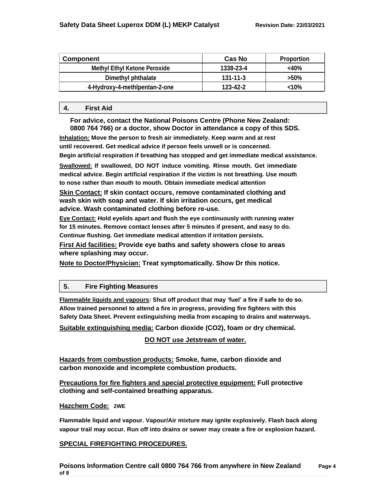| Component                           | Cas No    | <b>Proportion</b> |
|-------------------------------------|-----------|-------------------|
| <b>Methyl Ethyl Ketone Peroxide</b> | 1338-23-4 | $<$ 40%           |
| Dimethyl phthalate                  | 131-11-3  | >50%              |
| 4-Hydroxy-4-methlpentan-2-one       | 123-42-2  | $10\%$            |

#### **4. First Aid**

**For advice, contact the National Poisons Centre (Phone New Zealand: 0800 764 766) or a doctor, show Doctor in attendance a copy of this SDS.**

**Inhalation: Move the person to fresh air immediately. Keep warm and at rest until recovered. Get medical advice if person feels unwell or is concerned. Begin artificial respiration if breathing has stopped and get immediate medical assistance. Swallowed: If swallowed, DO NOT induce vomiting. Rinse mouth. Get immediate medical advice. Begin artificial respiration if the victim is not breathing. Use mouth to nose rather than mouth to mouth. Obtain immediate medical attention**

**Skin Contact: If skin contact occurs, remove contaminated clothing and wash skin with soap and water. If skin irritation occurs, get medical advice. Wash contaminated clothing before re-use.**

**Eye Contact: Hold eyelids apart and flush the eye continuously with running water for 15 minutes. Remove contact lenses after 5 minutes if present, and easy to do. Continue flushing. Get immediate medical attention if irritation persists.**

**First Aid facilities: Provide eye baths and safety showers close to areas where splashing may occur.**

**Note to Doctor/Physician: Treat symptomatically. Show Dr this notice.**

### **5. Fire Fighting Measures**

**Flammable liquids and vapours: Shut off product that may 'fuel' a fire if safe to do so. Allow trained personnel to attend a fire in progress, providing fire fighters with this Safety Data Sheet. Prevent extinguishing media from escaping to drains and waterways.**

**Suitable extinguishing media: Carbon dioxide (CO2), foam or dry chemical.**

**DO NOT use Jetstream of water.**

**Hazards from combustion products: Smoke, fume, carbon dioxide and carbon monoxide and incomplete combustion products.**

**Precautions for fire fighters and special protective equipment: Full protective clothing and self-contained breathing apparatus.**

**Hazchem Code: 2WE**

**Flammable liquid and vapour. Vapour/Air mixture may ignite explosively. Flash back along vapour trail may occur. Run off into drains or sewer may create a fire or explosion hazard.**

# **SPECIAL FIREFIGHTING PROCEDURES.**

**Poisons Information Centre call 0800 764 766 from anywhere in New Zealand Page 4 of 8**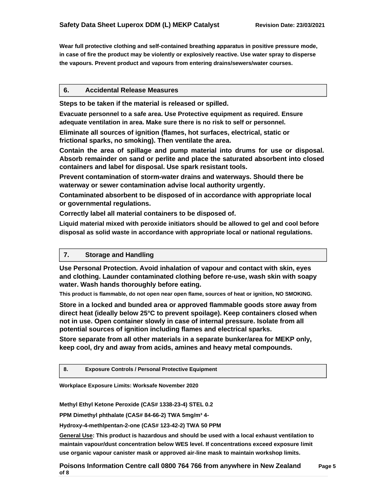**Wear full protective clothing and self-contained breathing apparatus in positive pressure mode, in case of fire the product may be violently or explosively reactive. Use water spray to disperse the vapours. Prevent product and vapours from entering drains/sewers/water courses.**

### **6. Accidental Release Measures**

**Steps to be taken if the material is released or spilled.**

**Evacuate personnel to a safe area. Use Protective equipment as required. Ensure adequate ventilation in area. Make sure there is no risk to self or personnel.**

**Eliminate all sources of ignition (flames, hot surfaces, electrical, static or frictional sparks, no smoking). Then ventilate the area.**

**Contain the area of spillage and pump material into drums for use or disposal. Absorb remainder on sand or perlite and place the saturated absorbent into closed containers and label for disposal. Use spark resistant tools.**

**Prevent contamination of storm-water drains and waterways. Should there be waterway or sewer contamination advise local authority urgently.**

**Contaminated absorbent to be disposed of in accordance with appropriate local or governmental regulations.**

**Correctly label all material containers to be disposed of.**

**Liquid material mixed with peroxide initiators should be allowed to gel and cool before disposal as solid waste in accordance with appropriate local or national regulations.**

### **7. Storage and Handling**

**Use Personal Protection. Avoid inhalation of vapour and contact with skin, eyes and clothing. Launder contaminated clothing before re-use, wash skin with soapy water. Wash hands thoroughly before eating.**

**This product is flammable, do not open near open flame, sources of heat or ignition, NO SMOKING.**

**Store in a locked and bunded area or approved flammable goods store away from direct heat (ideally below 25°C to prevent spoilage). Keep containers closed when not in use. Open container slowly in case of internal pressure. Isolate from all potential sources of ignition including flames and electrical sparks.**

**Store separate from all other materials in a separate bunker/area for MEKP only, keep cool, dry and away from acids, amines and heavy metal compounds.**

#### **8. Exposure Controls / Personal Protective Equipment**

**Workplace Exposure Limits: Worksafe November 2020**

**Methyl Ethyl Ketone Peroxide (CAS# 1338-23-4) STEL 0.2** 

**PPM Dimethyl phthalate (CAS# 84-66-2) TWA 5mg/m³ 4-**

**Hydroxy-4-methlpentan-2-one (CAS# 123-42-2) TWA 50 PPM**

**General Use: This product is hazardous and should be used with a local exhaust ventilation to maintain vapour/dust concentration below WES level. If concentrations exceed exposure limit use organic vapour canister mask or approved air-line mask to maintain workshop limits.**

**Poisons Information Centre call 0800 764 766 from anywhere in New Zealand Page 5 of 8**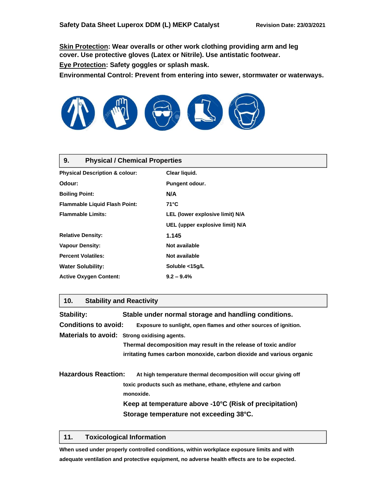**Skin Protection: Wear overalls or other work clothing providing arm and leg cover. Use protective gloves (Latex or Nitrile). Use antistatic footwear. Eye Protection: Safety goggles or splash mask.**

**Environmental Control: Prevent from entering into sewer, stormwater or waterways.**



#### **9. Physical / Chemical Properties**

| <b>Physical Description &amp; colour:</b> | Clear liquid.                   |
|-------------------------------------------|---------------------------------|
| Odour:                                    | Pungent odour.                  |
| <b>Boiling Point:</b>                     | N/A                             |
| <b>Flammable Liquid Flash Point:</b>      | $71^{\circ}$ C                  |
| <b>Flammable Limits:</b>                  | LEL (lower explosive limit) N/A |
|                                           | UEL (upper explosive limit) N/A |
| <b>Relative Density:</b>                  | 1.145                           |
| <b>Vapour Density:</b>                    | Not available                   |
| <b>Percent Volatiles:</b>                 | Not available                   |
| <b>Water Solubility:</b>                  | Soluble <15g/L                  |
| <b>Active Oxygen Content:</b>             | $9.2 - 9.4%$                    |

#### **10. Stability and Reactivity**

| Stability:<br><b>Conditions to avoid:</b> | Stable under normal storage and handling conditions.<br>Exposure to sunlight, open flames and other sources of ignition.                                                                |  |
|-------------------------------------------|-----------------------------------------------------------------------------------------------------------------------------------------------------------------------------------------|--|
|                                           | Materials to avoid: Strong oxidising agents.<br>Thermal decomposition may result in the release of toxic and/or<br>irritating fumes carbon monoxide, carbon dioxide and various organic |  |
| <b>Hazardous Reaction:</b>                | At high temperature thermal decomposition will occur giving off                                                                                                                         |  |
|                                           | toxic products such as methane, ethane, ethylene and carbon<br>monoxide.                                                                                                                |  |
|                                           | Keep at temperature above -10°C (Risk of precipitation)<br>Storage temperature not exceeding 38°C.                                                                                      |  |

#### **11. Toxicological Information**

**When used under properly controlled conditions, within workplace exposure limits and with adequate ventilation and protective equipment, no adverse health effects are to be expected.**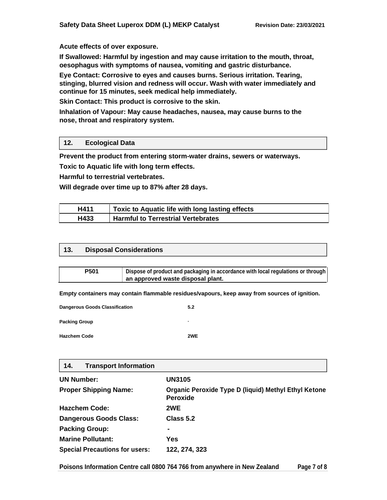#### **Acute effects of over exposure.**

**If Swallowed: Harmful by ingestion and may cause irritation to the mouth, throat, oesophagus with symptoms of nausea, vomiting and gastric disturbance.**

**Eye Contact: Corrosive to eyes and causes burns. Serious irritation. Tearing, stinging, blurred vision and redness will occur. Wash with water immediately and continue for 15 minutes, seek medical help immediately.**

**Skin Contact: This product is corrosive to the skin.**

**Inhalation of Vapour: May cause headaches, nausea, may cause burns to the nose, throat and respiratory system.**

## **12. Ecological Data**

**Prevent the product from entering storm-water drains, sewers or waterways.**

**Toxic to Aquatic life with long term effects.**

**Harmful to terrestrial vertebrates.**

**Will degrade over time up to 87% after 28 days.**

| H411 | Toxic to Aquatic life with long lasting effects |
|------|-------------------------------------------------|
| H433 | <b>Harmful to Terrestrial Vertebrates</b>       |

#### **13. Disposal Considerations**

| <b>P501</b> | Dispose of product and packaging in accordance with local regulations or through |
|-------------|----------------------------------------------------------------------------------|
|             | an approved waste disposal plant.                                                |

**Empty containers may contain flammable residues/vapours, keep away from sources of ignition.**

| <b>Dangerous Goods Classification</b> | 5.2 |
|---------------------------------------|-----|
| <b>Packing Group</b>                  | ۰   |
| <b>Hazchem Code</b>                   | 2WF |

### **14. Transport Information**

| <b>UN Number:</b>                     | <b>UN3105</b>                                                                  |
|---------------------------------------|--------------------------------------------------------------------------------|
| <b>Proper Shipping Name:</b>          | <b>Organic Peroxide Type D (liquid) Methyl Ethyl Ketone</b><br><b>Peroxide</b> |
| <b>Hazchem Code:</b>                  | 2WE                                                                            |
| <b>Dangerous Goods Class:</b>         | Class 5.2                                                                      |
| <b>Packing Group:</b>                 | ۰                                                                              |
| <b>Marine Pollutant:</b>              | Yes                                                                            |
| <b>Special Precautions for users:</b> | 122, 274, 323                                                                  |

**Poisons Information Centre call 0800 764 766 from anywhere in New Zealand Page 7 of 8**